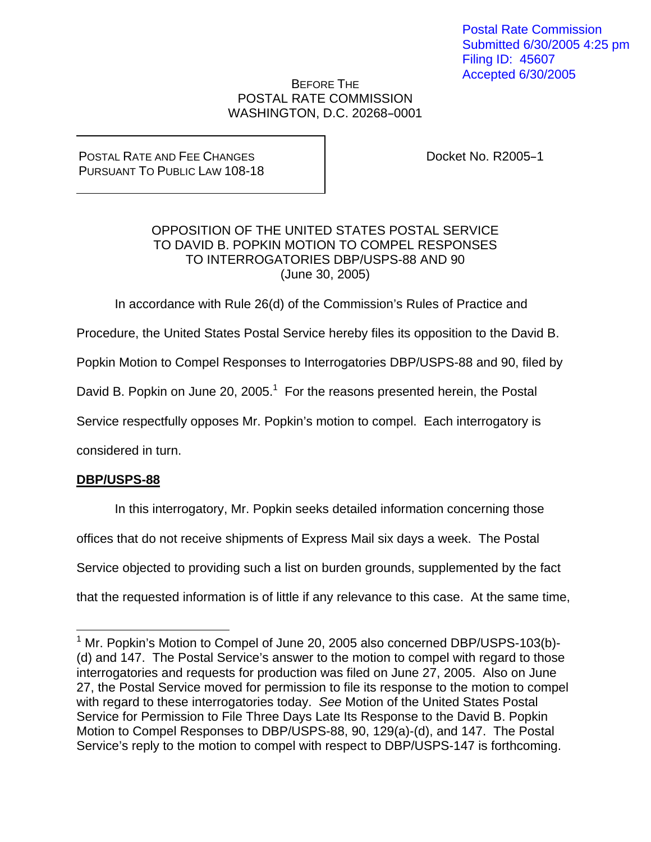## BEFORE THE POSTAL RATE COMMISSION WASHINGTON, D.C. 20268-0001

POSTAL RATE AND FEE CHANGES PURSUANT TO PUBLIC LAW 108-18 Docket No. R2005-1

## OPPOSITION OF THE UNITED STATES POSTAL SERVICE TO DAVID B. POPKIN MOTION TO COMPEL RESPONSES TO INTERROGATORIES DBP/USPS-88 AND 90 (June 30, 2005)

In accordance with Rule 26(d) of the Commission's Rules of Practice and

Procedure, the United States Postal Service hereby files its opposition to the David B.

Popkin Motion to Compel Responses to Interrogatories DBP/USPS-88 and 90, filed by

David B. Popkin on June 20, 2005.<sup>1</sup> For the reasons presented herein, the Postal

Service respectfully opposes Mr. Popkin's motion to compel. Each interrogatory is

considered in turn.

## **DBP/USPS-88**

 $\overline{a}$ 

 In this interrogatory, Mr. Popkin seeks detailed information concerning those offices that do not receive shipments of Express Mail six days a week. The Postal Service objected to providing such a list on burden grounds, supplemented by the fact that the requested information is of little if any relevance to this case. At the same time,

<sup>&</sup>lt;sup>1</sup> Mr. Popkin's Motion to Compel of June 20, 2005 also concerned DBP/USPS-103(b)-(d) and 147. The Postal Service's answer to the motion to compel with regard to those interrogatories and requests for production was filed on June 27, 2005. Also on June 27, the Postal Service moved for permission to file its response to the motion to compel with regard to these interrogatories today. *See* Motion of the United States Postal Service for Permission to File Three Days Late Its Response to the David B. Popkin Motion to Compel Responses to DBP/USPS-88, 90, 129(a)-(d), and 147. The Postal Service's reply to the motion to compel with respect to DBP/USPS-147 is forthcoming.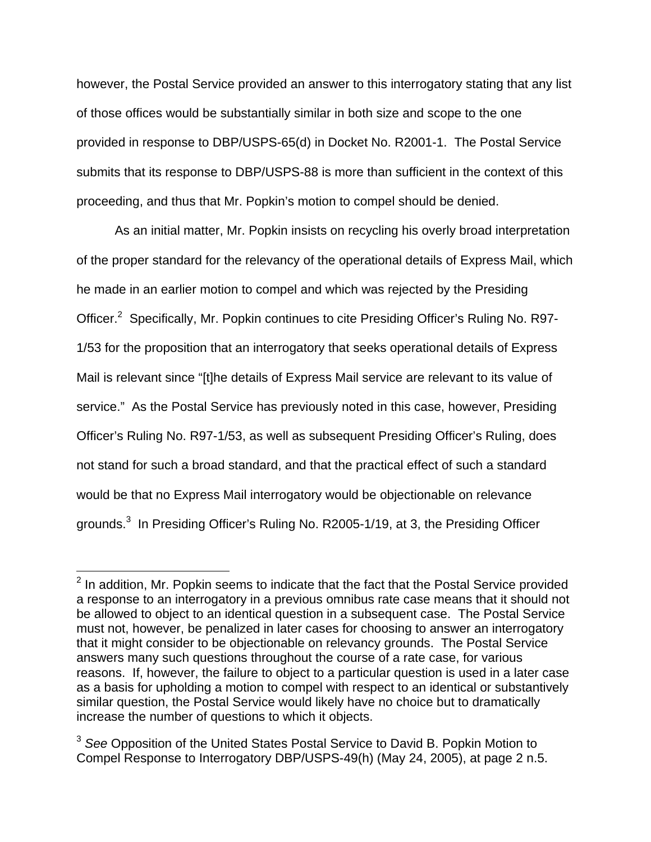however, the Postal Service provided an answer to this interrogatory stating that any list of those offices would be substantially similar in both size and scope to the one provided in response to DBP/USPS-65(d) in Docket No. R2001-1. The Postal Service submits that its response to DBP/USPS-88 is more than sufficient in the context of this proceeding, and thus that Mr. Popkin's motion to compel should be denied.

 As an initial matter, Mr. Popkin insists on recycling his overly broad interpretation of the proper standard for the relevancy of the operational details of Express Mail, which he made in an earlier motion to compel and which was rejected by the Presiding Officer.<sup>2</sup> Specifically, Mr. Popkin continues to cite Presiding Officer's Ruling No. R97-1/53 for the proposition that an interrogatory that seeks operational details of Express Mail is relevant since "[t]he details of Express Mail service are relevant to its value of service." As the Postal Service has previously noted in this case, however, Presiding Officer's Ruling No. R97-1/53, as well as subsequent Presiding Officer's Ruling, does not stand for such a broad standard, and that the practical effect of such a standard would be that no Express Mail interrogatory would be objectionable on relevance grounds.<sup>3</sup> In Presiding Officer's Ruling No. R2005-1/19, at 3, the Presiding Officer

1

 $2$  In addition, Mr. Popkin seems to indicate that the fact that the Postal Service provided a response to an interrogatory in a previous omnibus rate case means that it should not be allowed to object to an identical question in a subsequent case. The Postal Service must not, however, be penalized in later cases for choosing to answer an interrogatory that it might consider to be objectionable on relevancy grounds. The Postal Service answers many such questions throughout the course of a rate case, for various reasons. If, however, the failure to object to a particular question is used in a later case as a basis for upholding a motion to compel with respect to an identical or substantively similar question, the Postal Service would likely have no choice but to dramatically increase the number of questions to which it objects.

<sup>3</sup> *See* Opposition of the United States Postal Service to David B. Popkin Motion to Compel Response to Interrogatory DBP/USPS-49(h) (May 24, 2005), at page 2 n.5.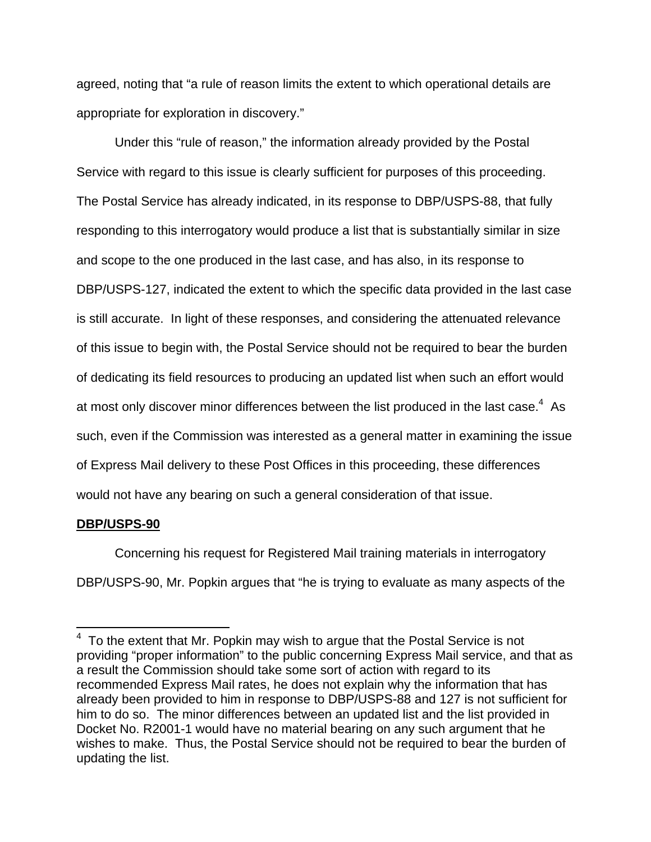agreed, noting that "a rule of reason limits the extent to which operational details are appropriate for exploration in discovery."

 Under this "rule of reason," the information already provided by the Postal Service with regard to this issue is clearly sufficient for purposes of this proceeding. The Postal Service has already indicated, in its response to DBP/USPS-88, that fully responding to this interrogatory would produce a list that is substantially similar in size and scope to the one produced in the last case, and has also, in its response to DBP/USPS-127, indicated the extent to which the specific data provided in the last case is still accurate. In light of these responses, and considering the attenuated relevance of this issue to begin with, the Postal Service should not be required to bear the burden of dedicating its field resources to producing an updated list when such an effort would at most only discover minor differences between the list produced in the last case. $4\,$  As such, even if the Commission was interested as a general matter in examining the issue of Express Mail delivery to these Post Offices in this proceeding, these differences would not have any bearing on such a general consideration of that issue.

## **DBP/USPS-90**

Concerning his request for Registered Mail training materials in interrogatory DBP/USPS-90, Mr. Popkin argues that "he is trying to evaluate as many aspects of the

<sup>————————————————————&</sup>lt;br><sup>4</sup> To the extent that Mr. Popkin may wish to argue that the Postal Service is not providing "proper information" to the public concerning Express Mail service, and that as a result the Commission should take some sort of action with regard to its recommended Express Mail rates, he does not explain why the information that has already been provided to him in response to DBP/USPS-88 and 127 is not sufficient for him to do so. The minor differences between an updated list and the list provided in Docket No. R2001-1 would have no material bearing on any such argument that he wishes to make. Thus, the Postal Service should not be required to bear the burden of updating the list.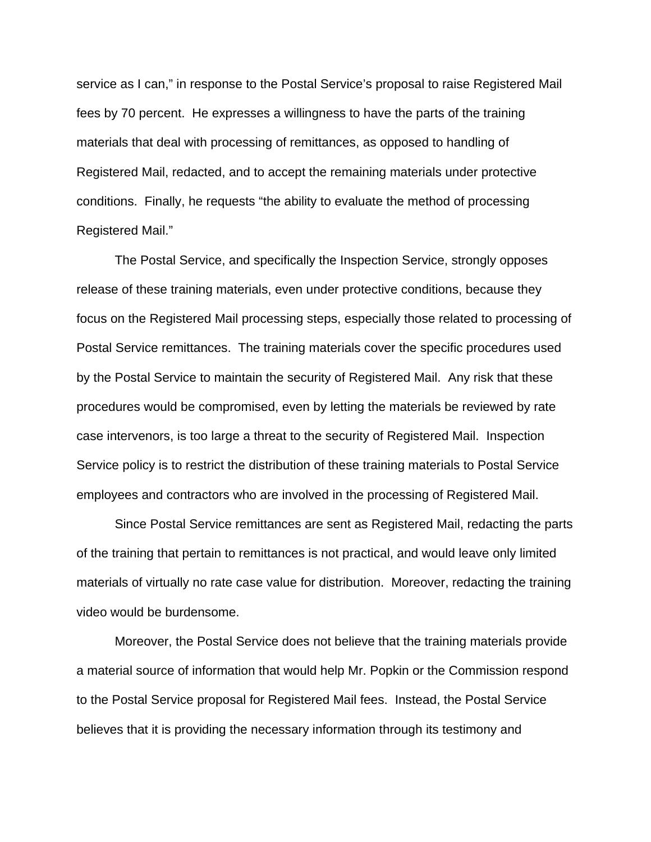service as I can," in response to the Postal Service's proposal to raise Registered Mail fees by 70 percent. He expresses a willingness to have the parts of the training materials that deal with processing of remittances, as opposed to handling of Registered Mail, redacted, and to accept the remaining materials under protective conditions. Finally, he requests "the ability to evaluate the method of processing Registered Mail."

 The Postal Service, and specifically the Inspection Service, strongly opposes release of these training materials, even under protective conditions, because they focus on the Registered Mail processing steps, especially those related to processing of Postal Service remittances. The training materials cover the specific procedures used by the Postal Service to maintain the security of Registered Mail. Any risk that these procedures would be compromised, even by letting the materials be reviewed by rate case intervenors, is too large a threat to the security of Registered Mail. Inspection Service policy is to restrict the distribution of these training materials to Postal Service employees and contractors who are involved in the processing of Registered Mail.

 Since Postal Service remittances are sent as Registered Mail, redacting the parts of the training that pertain to remittances is not practical, and would leave only limited materials of virtually no rate case value for distribution. Moreover, redacting the training video would be burdensome.

 Moreover, the Postal Service does not believe that the training materials provide a material source of information that would help Mr. Popkin or the Commission respond to the Postal Service proposal for Registered Mail fees. Instead, the Postal Service believes that it is providing the necessary information through its testimony and